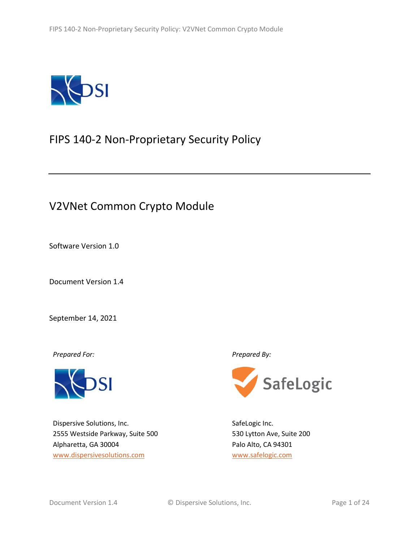

# FIPS 140-2 Non-Proprietary Security Policy

# V2VNet Common Crypto Module

Software Version 1.0

Document Version 1.4

September 14, 2021

*Prepared For: Prepared By:*



Dispersive Solutions, Inc. 2555 Westside Parkway, Suite 500 Alpharetta, GA 30004 [www.dispersivesolutions.com](http://www.dispersivesolutions.com/)



SafeLogic Inc. 530 Lytton Ave, Suite 200 Palo Alto, CA 94301 [www.safelogic.com](http://www.safelogic.com/)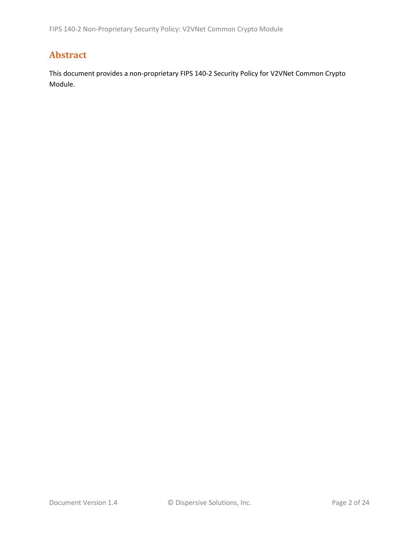# **Abstract**

This document provides a non-proprietary FIPS 140-2 Security Policy for V2VNet Common Crypto Module.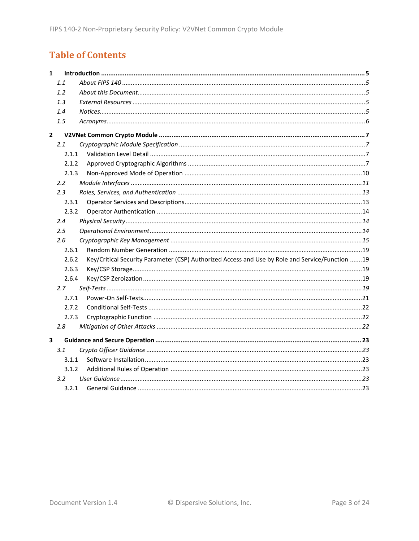# **Table of Contents**

| $\mathbf{1}$            |               |                                                                                                 |  |
|-------------------------|---------------|-------------------------------------------------------------------------------------------------|--|
|                         | 1.1           |                                                                                                 |  |
|                         | 1.2           |                                                                                                 |  |
|                         | 1.3           |                                                                                                 |  |
|                         | 1.4           |                                                                                                 |  |
|                         | 1.5           |                                                                                                 |  |
| $\mathbf{2}$            |               |                                                                                                 |  |
|                         | 2.1           |                                                                                                 |  |
|                         | 2.1.1         |                                                                                                 |  |
|                         | 2.1.2         |                                                                                                 |  |
|                         | 2.1.3         |                                                                                                 |  |
|                         | $2.2^{\circ}$ |                                                                                                 |  |
|                         | 2.3           |                                                                                                 |  |
|                         | 2.3.1         |                                                                                                 |  |
|                         | 2.3.2         |                                                                                                 |  |
|                         | 2.4           |                                                                                                 |  |
|                         | 2.5           |                                                                                                 |  |
|                         | 2.6           |                                                                                                 |  |
|                         | 2.6.1         |                                                                                                 |  |
|                         | 2.6.2         | Key/Critical Security Parameter (CSP) Authorized Access and Use by Role and Service/Function 19 |  |
|                         | 2.6.3         |                                                                                                 |  |
|                         | 2.6.4         |                                                                                                 |  |
|                         | 2.7           |                                                                                                 |  |
|                         | 2.7.1         |                                                                                                 |  |
|                         | 2.7.2         |                                                                                                 |  |
|                         | 2.7.3         |                                                                                                 |  |
|                         | 2.8           |                                                                                                 |  |
| $\overline{\mathbf{3}}$ |               |                                                                                                 |  |
|                         | 3.1           |                                                                                                 |  |
|                         | 3.1.1         |                                                                                                 |  |
|                         | 3.1.2         |                                                                                                 |  |
|                         | $3.2^{\circ}$ |                                                                                                 |  |
|                         | 3.2.1         |                                                                                                 |  |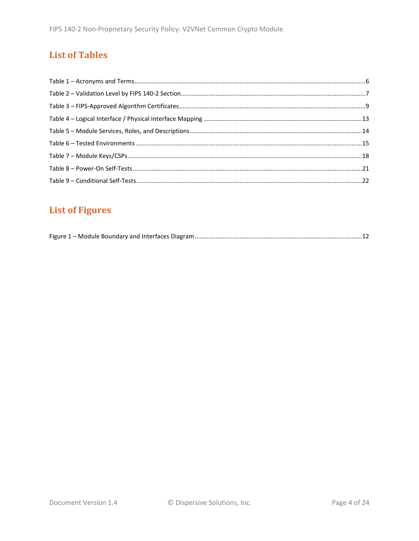# **List of Tables**

# **List of Figures**

|--|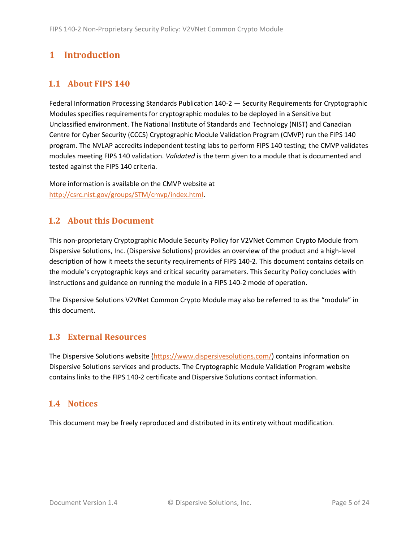# <span id="page-4-0"></span>**1 Introduction**

# <span id="page-4-1"></span>**1.1 About FIPS 140**

Federal Information Processing Standards Publication 140-2 — Security Requirements for Cryptographic Modules specifies requirements for cryptographic modules to be deployed in a Sensitive but Unclassified environment. The National Institute of Standards and Technology (NIST) and Canadian Centre for Cyber Security (CCCS) Cryptographic Module Validation Program (CMVP) run the FIPS 140 program. The NVLAP accredits independent testing labs to perform FIPS 140 testing; the CMVP validates modules meeting FIPS 140 validation. *Validated* is the term given to a module that is documented and tested against the FIPS 140 criteria.

More information is available on the CMVP website at [http://csrc.nist.gov/groups/STM/cmvp/index.html.](http://csrc.nist.gov/groups/STM/cmvp/index.html)

### <span id="page-4-2"></span>**1.2 About this Document**

This non-proprietary Cryptographic Module Security Policy for V2VNet Common Crypto Module from Dispersive Solutions, Inc. (Dispersive Solutions) provides an overview of the product and a high-level description of how it meets the security requirements of FIPS 140-2. This document contains details on the module's cryptographic keys and critical security parameters. This Security Policy concludes with instructions and guidance on running the module in a FIPS 140-2 mode of operation.

The Dispersive Solutions V2VNet Common Crypto Module may also be referred to as the "module" in this document.

### <span id="page-4-3"></span>**1.3 External Resources**

The Dispersive Solutions website [\(https://www.dispersivesolutions.com/\)](https://www.dispersivesolutions.com/) contains information on Dispersive Solutions services and products. The Cryptographic Module Validation Program website contains links to the FIPS 140-2 certificate and Dispersive Solutions contact information.

### <span id="page-4-4"></span>**1.4 Notices**

This document may be freely reproduced and distributed in its entirety without modification.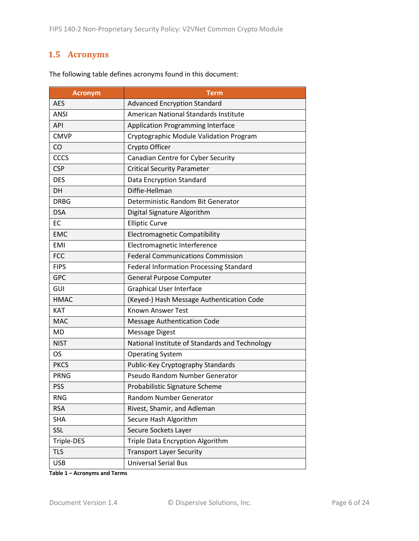# <span id="page-5-0"></span>**1.5 Acronyms**

| <b>Acronym</b>                                         | Term                                           |  |
|--------------------------------------------------------|------------------------------------------------|--|
| <b>AES</b>                                             | <b>Advanced Encryption Standard</b>            |  |
| <b>ANSI</b>                                            | <b>American National Standards Institute</b>   |  |
| <b>API</b>                                             | <b>Application Programming Interface</b>       |  |
| <b>CMVP</b>                                            | Cryptographic Module Validation Program        |  |
| CO                                                     | Crypto Officer                                 |  |
| CCCS                                                   | Canadian Centre for Cyber Security             |  |
| <b>CSP</b>                                             | <b>Critical Security Parameter</b>             |  |
| <b>DES</b>                                             | Data Encryption Standard                       |  |
| <b>DH</b>                                              | Diffie-Hellman                                 |  |
| <b>DRBG</b>                                            | Deterministic Random Bit Generator             |  |
| <b>DSA</b>                                             | Digital Signature Algorithm                    |  |
| <b>EC</b>                                              | <b>Elliptic Curve</b>                          |  |
| <b>EMC</b>                                             | <b>Electromagnetic Compatibility</b>           |  |
| <b>EMI</b>                                             | Electromagnetic Interference                   |  |
| <b>Federal Communications Commission</b><br><b>FCC</b> |                                                |  |
| <b>FIPS</b>                                            | <b>Federal Information Processing Standard</b> |  |
| <b>GPC</b>                                             | <b>General Purpose Computer</b>                |  |
| GUI                                                    | <b>Graphical User Interface</b>                |  |
| <b>HMAC</b>                                            | (Keyed-) Hash Message Authentication Code      |  |
| <b>KAT</b>                                             | <b>Known Answer Test</b>                       |  |
| <b>MAC</b>                                             | <b>Message Authentication Code</b>             |  |
| <b>MD</b>                                              | <b>Message Digest</b>                          |  |
| <b>NIST</b>                                            | National Institute of Standards and Technology |  |
| <b>OS</b>                                              | <b>Operating System</b>                        |  |
| <b>PKCS</b>                                            | Public-Key Cryptography Standards              |  |
| <b>PRNG</b>                                            | Pseudo Random Number Generator                 |  |
| <b>PSS</b>                                             | Probabilistic Signature Scheme                 |  |
| <b>RNG</b>                                             | Random Number Generator                        |  |
| <b>RSA</b>                                             | Rivest, Shamir, and Adleman                    |  |
| <b>SHA</b>                                             | Secure Hash Algorithm                          |  |
| SSL                                                    | Secure Sockets Layer                           |  |
| Triple-DES                                             | Triple Data Encryption Algorithm               |  |
| <b>TLS</b>                                             | <b>Transport Layer Security</b>                |  |
| <b>USB</b>                                             | <b>Universal Serial Bus</b>                    |  |

The following table defines acronyms found in this document:

**Table 1 – Acronyms and Terms**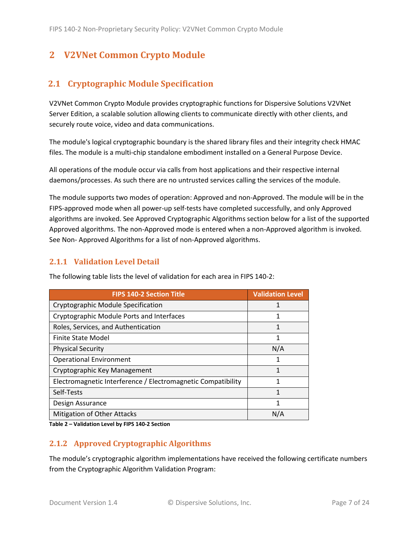# <span id="page-6-0"></span>**2 V2VNet Common Crypto Module**

# <span id="page-6-1"></span>**2.1 Cryptographic Module Specification**

V2VNet Common Crypto Module provides cryptographic functions for Dispersive Solutions V2VNet Server Edition, a scalable solution allowing clients to communicate directly with other clients, and securely route voice, video and data communications.

The module's logical cryptographic boundary is the shared library files and their integrity check HMAC files. The module is a multi-chip standalone embodiment installed on a General Purpose Device.

All operations of the module occur via calls from host applications and their respective internal daemons/processes. As such there are no untrusted services calling the services of the module.

The module supports two modes of operation: Approved and non-Approved. The module will be in the FIPS-approved mode when all power-up self-tests have completed successfully, and only Approved algorithms are invoked. See Approved Cryptographic Algorithms section below for a list of the supported Approved algorithms. The non-Approved mode is entered when a non-Approved algorithm is invoked. See Non- Approved Algorithms for a list of non-Approved algorithms.

#### <span id="page-6-2"></span>**2.1.1 Validation Level Detail**

| <b>FIPS 140-2 Section Title</b>                              | <b>Validation Level</b> |
|--------------------------------------------------------------|-------------------------|
| Cryptographic Module Specification                           |                         |
| Cryptographic Module Ports and Interfaces                    | 1                       |
| Roles, Services, and Authentication                          | 1                       |
| <b>Finite State Model</b>                                    | 1                       |
| <b>Physical Security</b>                                     | N/A                     |
| <b>Operational Environment</b>                               | 1                       |
| Cryptographic Key Management                                 | 1                       |
| Electromagnetic Interference / Electromagnetic Compatibility | 1                       |
| Self-Tests                                                   | 1                       |
| Design Assurance                                             | 1                       |
| Mitigation of Other Attacks                                  | N/A                     |

The following table lists the level of validation for each area in FIPS 140-2:

**Table 2 – Validation Level by FIPS 140-2 Section**

#### <span id="page-6-3"></span>**2.1.2 Approved Cryptographic Algorithms**

The module's cryptographic algorithm implementations have received the following certificate numbers from the Cryptographic Algorithm Validation Program: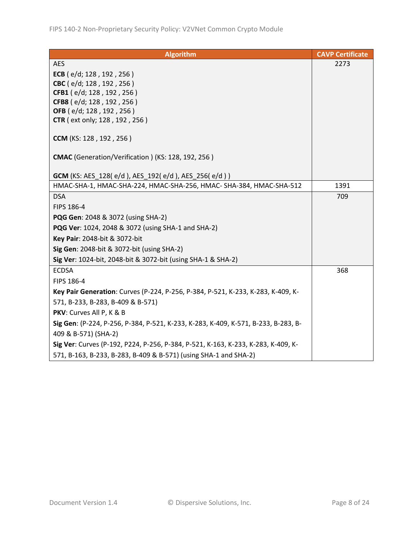| <b>Algorithm</b>                                                                   | <b>CAVP Certificate</b> |
|------------------------------------------------------------------------------------|-------------------------|
| <b>AES</b>                                                                         | 2273                    |
| ECB (e/d; 128, 192, 256)                                                           |                         |
| CBC (e/d; 128, 192, 256)                                                           |                         |
| CFB1 (e/d; 128, 192, 256)                                                          |                         |
| CFB8 (e/d; 128, 192, 256)                                                          |                         |
| OFB (e/d; 128, 192, 256)                                                           |                         |
| <b>CTR</b> (ext only; 128, 192, 256)                                               |                         |
| CCM (KS: 128, 192, 256)                                                            |                         |
| CMAC (Generation/Verification) (KS: 128, 192, 256)                                 |                         |
| <b>GCM</b> (KS: AES_128(e/d), AES_192(e/d), AES_256(e/d))                          |                         |
| HMAC-SHA-1, HMAC-SHA-224, HMAC-SHA-256, HMAC- SHA-384, HMAC-SHA-512                | 1391                    |
| <b>DSA</b>                                                                         | 709                     |
| FIPS 186-4                                                                         |                         |
| PQG Gen: 2048 & 3072 (using SHA-2)                                                 |                         |
| PQG Ver: 1024, 2048 & 3072 (using SHA-1 and SHA-2)                                 |                         |
| Key Pair: 2048-bit & 3072-bit                                                      |                         |
| Sig Gen: 2048-bit & 3072-bit (using SHA-2)                                         |                         |
| Sig Ver: 1024-bit, 2048-bit & 3072-bit (using SHA-1 & SHA-2)                       |                         |
| <b>ECDSA</b>                                                                       | 368                     |
| FIPS 186-4                                                                         |                         |
| Key Pair Generation: Curves (P-224, P-256, P-384, P-521, K-233, K-283, K-409, K-   |                         |
| 571, B-233, B-283, B-409 & B-571)                                                  |                         |
| PKV: Curves All P, K & B                                                           |                         |
| Sig Gen: (P-224, P-256, P-384, P-521, K-233, K-283, K-409, K-571, B-233, B-283, B- |                         |
| 409 & B-571) (SHA-2)                                                               |                         |
| Sig Ver: Curves (P-192, P224, P-256, P-384, P-521, K-163, K-233, K-283, K-409, K-  |                         |
| 571, B-163, B-233, B-283, B-409 & B-571) (using SHA-1 and SHA-2)                   |                         |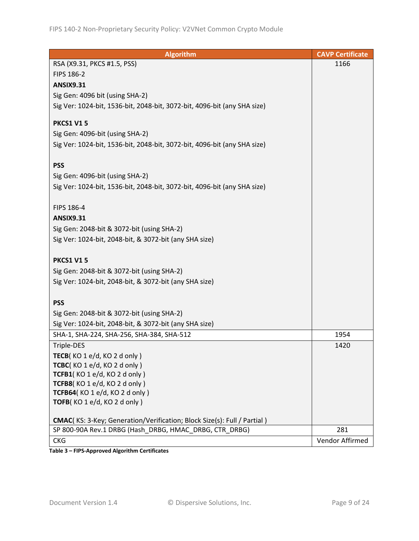| <b>Algorithm</b>                                                                 | <b>CAVP Certificate</b> |
|----------------------------------------------------------------------------------|-------------------------|
| RSA (X9.31, PKCS #1.5, PSS)                                                      | 1166                    |
| FIPS 186-2                                                                       |                         |
| <b>ANSIX9.31</b>                                                                 |                         |
| Sig Gen: 4096 bit (using SHA-2)                                                  |                         |
| Sig Ver: 1024-bit, 1536-bit, 2048-bit, 3072-bit, 4096-bit (any SHA size)         |                         |
|                                                                                  |                         |
| <b>PKCS1 V15</b>                                                                 |                         |
| Sig Gen: 4096-bit (using SHA-2)                                                  |                         |
| Sig Ver: 1024-bit, 1536-bit, 2048-bit, 3072-bit, 4096-bit (any SHA size)         |                         |
|                                                                                  |                         |
| <b>PSS</b>                                                                       |                         |
| Sig Gen: 4096-bit (using SHA-2)                                                  |                         |
| Sig Ver: 1024-bit, 1536-bit, 2048-bit, 3072-bit, 4096-bit (any SHA size)         |                         |
|                                                                                  |                         |
| FIPS 186-4                                                                       |                         |
| <b>ANSIX9.31</b>                                                                 |                         |
| Sig Gen: 2048-bit & 3072-bit (using SHA-2)                                       |                         |
| Sig Ver: 1024-bit, 2048-bit, & 3072-bit (any SHA size)                           |                         |
|                                                                                  |                         |
| <b>PKCS1 V15</b>                                                                 |                         |
| Sig Gen: 2048-bit & 3072-bit (using SHA-2)                                       |                         |
| Sig Ver: 1024-bit, 2048-bit, & 3072-bit (any SHA size)                           |                         |
|                                                                                  |                         |
| <b>PSS</b>                                                                       |                         |
| Sig Gen: 2048-bit & 3072-bit (using SHA-2)                                       |                         |
| Sig Ver: 1024-bit, 2048-bit, & 3072-bit (any SHA size)                           |                         |
| SHA-1, SHA-224, SHA-256, SHA-384, SHA-512                                        | 1954                    |
| Triple-DES                                                                       | 1420                    |
| TECB(KO 1 e/d, KO 2 d only)                                                      |                         |
| TCBC(KO1e/d, KO2donly)                                                           |                         |
| TCFB1(KO1e/d, KO2donly)                                                          |                         |
| TCFB8(KO 1 e/d, KO 2 d only)                                                     |                         |
| TCFB64(KO 1 e/d, KO 2 d only)                                                    |                         |
| TOFB(KO1e/d, KO2d only)                                                          |                         |
|                                                                                  |                         |
| <b>CMAC</b> (KS: 3-Key; Generation/Verification; Block Size(s): Full / Partial ) |                         |
| SP 800-90A Rev.1 DRBG (Hash DRBG, HMAC DRBG, CTR DRBG)                           | 281                     |
| <b>CKG</b>                                                                       | Vendor Affirmed         |

**Table 3 – FIPS-Approved Algorithm Certificates**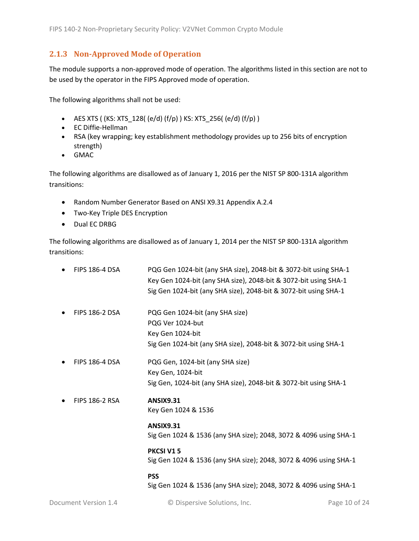#### <span id="page-9-0"></span>**2.1.3 Non-Approved Mode of Operation**

The module supports a non-approved mode of operation. The algorithms listed in this section are not to be used by the operator in the FIPS Approved mode of operation.

The following algorithms shall not be used:

- AES XTS (  $(KS: XTS_128$  (  $(e/d)$   $(f/p)$  )  $KS: XTS_256$  (  $(e/d)$   $(f/p)$  )
- EC Diffie-Hellman
- RSA (key wrapping; key establishment methodology provides up to 256 bits of encryption strength)
- GMAC

The following algorithms are disallowed as of January 1, 2016 per the NIST SP 800-131A algorithm transitions:

- Random Number Generator Based on ANSI X9.31 Appendix A.2.4
- Two-Key Triple DES Encryption
- Dual EC DRBG

The following algorithms are disallowed as of January 1, 2014 per the NIST SP 800-131A algorithm transitions:

| $\bullet$ | <b>FIPS 186-4 DSA</b> | PQG Gen 1024-bit (any SHA size), 2048-bit & 3072-bit using SHA-1<br>Key Gen 1024-bit (any SHA size), 2048-bit & 3072-bit using SHA-1<br>Sig Gen 1024-bit (any SHA size), 2048-bit & 3072-bit using SHA-1 |
|-----------|-----------------------|----------------------------------------------------------------------------------------------------------------------------------------------------------------------------------------------------------|
|           | <b>FIPS 186-2 DSA</b> | PQG Gen 1024-bit (any SHA size)<br>PQG Ver 1024-but<br>Key Gen 1024-bit<br>Sig Gen 1024-bit (any SHA size), 2048-bit & 3072-bit using SHA-1                                                              |
|           | <b>FIPS 186-4 DSA</b> | PQG Gen, 1024-bit (any SHA size)<br>Key Gen, 1024-bit<br>Sig Gen, 1024-bit (any SHA size), 2048-bit & 3072-bit using SHA-1                                                                               |
|           | <b>FIPS 186-2 RSA</b> | <b>ANSIX9.31</b><br>Key Gen 1024 & 1536                                                                                                                                                                  |
|           |                       | <b>ANSIX9.31</b><br>Sig Gen 1024 & 1536 (any SHA size); 2048, 3072 & 4096 using SHA-1                                                                                                                    |
|           |                       | <b>PKCSI V15</b><br>Sig Gen 1024 & 1536 (any SHA size); 2048, 3072 & 4096 using SHA-1                                                                                                                    |
|           |                       | <b>PSS</b><br>Sig Gen 1024 & 1536 (any SHA size); 2048, 3072 & 4096 using SHA-1                                                                                                                          |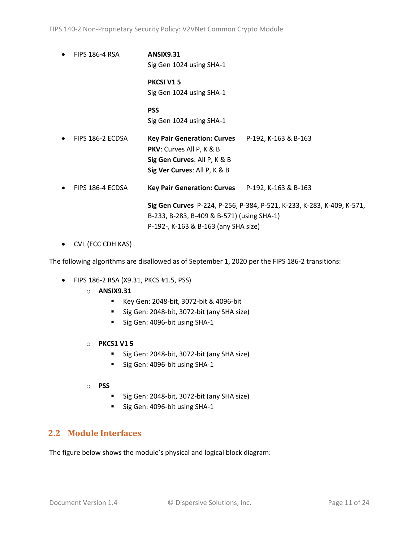• FIPS 186-4 RSA **ANSIX9.31** Sig Gen 1024 using SHA-1

> **PKCSI V1 5** Sig Gen 1024 using SHA-1

> **PSS** Sig Gen 1024 using SHA-1

- FIPS 186-2 ECDSA **Key Pair Generation: Curves** P-192, K-163 & B-163 **PKV**: Curves All P, K & B **Sig Gen Curves**: All P, K & B **Sig Ver Curves**: All P, K & B
- FIPS 186-4 ECDSA **Key Pair Generation: Curves** P-192, K-163 & B-163

**Sig Gen Curves** P-224, P-256, P-384, P-521, K-233, K-283, K-409, K-571, B-233, B-283, B-409 & B-571) (using SHA-1) P-192-, K-163 & B-163 (any SHA size)

• CVL (ECC CDH KAS)

The following algorithms are disallowed as of September 1, 2020 per the FIPS 186-2 transitions:

- FIPS 186-2 RSA (X9.31, PKCS #1.5, PSS)
	- o **ANSIX9.31**
		- Key Gen: 2048-bit, 3072-bit & 4096-bit
		- Sig Gen: 2048-bit, 3072-bit (any SHA size)
		- Sig Gen: 4096-bit using SHA-1
	- o **PKCS1 V1 5**
		- Sig Gen: 2048-bit, 3072-bit (any SHA size)
		- Sig Gen: 4096-bit using SHA-1
	- o **PSS**
		- Sig Gen: 2048-bit, 3072-bit (any SHA size)
		- Sig Gen: 4096-bit using SHA-1

### <span id="page-10-0"></span>**2.2 Module Interfaces**

The figure below shows the module's physical and logical block diagram: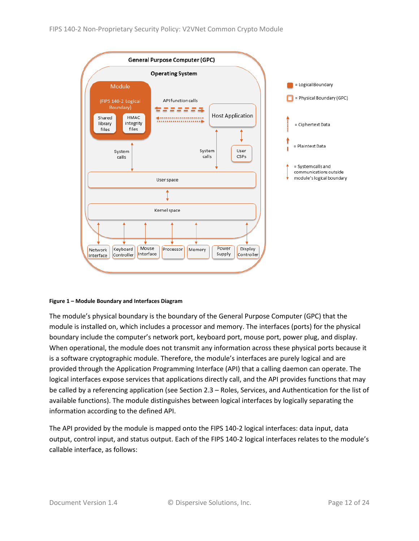

#### <span id="page-11-0"></span>**Figure 1 – Module Boundary and Interfaces Diagram**

The module's physical boundary is the boundary of the General Purpose Computer (GPC) that the module is installed on, which includes a processor and memory. The interfaces (ports) for the physical boundary include the computer's network port, keyboard port, mouse port, power plug, and display. When operational, the module does not transmit any information across these physical ports because it is a software cryptographic module. Therefore, the module's interfaces are purely logical and are provided through the Application Programming Interface (API) that a calling daemon can operate. The logical interfaces expose services that applications directly call, and the API provides functions that may be called by a referencing application (see Section [2.3](#page-12-0) – [Roles, Services, and Authentication](#page-12-0) for the list of available functions). The module distinguishes between logical interfaces by logically separating the information according to the defined API.

The API provided by the module is mapped onto the FIPS 140-2 logical interfaces: data input, data output, control input, and status output. Each of the FIPS 140-2 logical interfaces relates to the module's callable interface, as follows: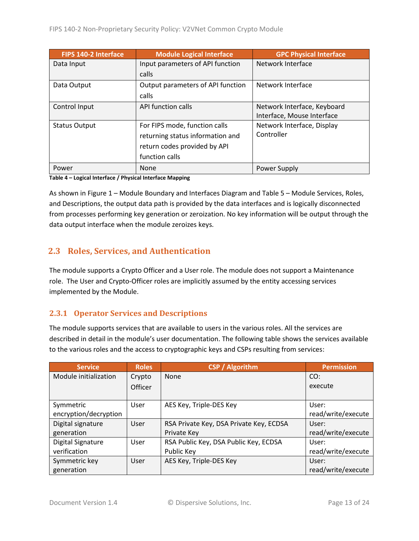| FIPS 140-2 Interface | <b>Module Logical Interface</b>   | <b>GPC Physical Interface</b> |
|----------------------|-----------------------------------|-------------------------------|
| Data Input           | Input parameters of API function  | Network Interface             |
|                      | calls                             |                               |
| Data Output          | Output parameters of API function | Network Interface             |
|                      | calls                             |                               |
| Control Input        | API function calls                | Network Interface, Keyboard   |
|                      |                                   | Interface, Mouse Interface    |
| <b>Status Output</b> | For FIPS mode, function calls     | Network Interface, Display    |
|                      | returning status information and  | Controller                    |
|                      | return codes provided by API      |                               |
|                      | function calls                    |                               |
| Power                | None                              | Power Supply                  |

**Table 4 – Logical Interface / Physical Interface Mapping**

As shown in Figure 1 – [Module Boundary and Interfaces Diagram](#page-11-0) and Table 5 – Module [Services, Roles,](#page-13-3) [and Descriptions,](#page-13-3) the output data path is provided by the data interfaces and is logically disconnected from processes performing key generation or zeroization. No key information will be output through the data output interface when the module zeroizes keys.

# <span id="page-12-0"></span>**2.3 Roles, Services, and Authentication**

The module supports a Crypto Officer and a User role. The module does not support a Maintenance role. The User and Crypto-Officer roles are implicitly assumed by the entity accessing services implemented by the Module.

#### <span id="page-12-1"></span>**2.3.1 Operator Services and Descriptions**

The module supports services that are available to users in the various roles. All the services are described in detail in the module's user documentation. The following table shows the services available to the various roles and the access to cryptographic keys and CSPs resulting from services:

| <b>Service</b>           | <b>Roles</b> | <b>CSP / Algorithm</b>                  | <b>Permission</b>  |
|--------------------------|--------------|-----------------------------------------|--------------------|
| Module initialization    | Crypto       | <b>None</b>                             | CO:                |
|                          | Officer      |                                         | execute            |
|                          |              |                                         |                    |
| Symmetric                | User         | AES Key, Triple-DES Key                 | User:              |
| encryption/decryption    |              |                                         | read/write/execute |
| Digital signature        | User         | RSA Private Key, DSA Private Key, ECDSA | User:              |
| generation               |              | Private Key                             | read/write/execute |
| <b>Digital Signature</b> | User         | RSA Public Key, DSA Public Key, ECDSA   | User:              |
| verification             |              | Public Key                              | read/write/execute |
| Symmetric key            | User         | AES Key, Triple-DES Key                 | User:              |
| generation               |              |                                         | read/write/execute |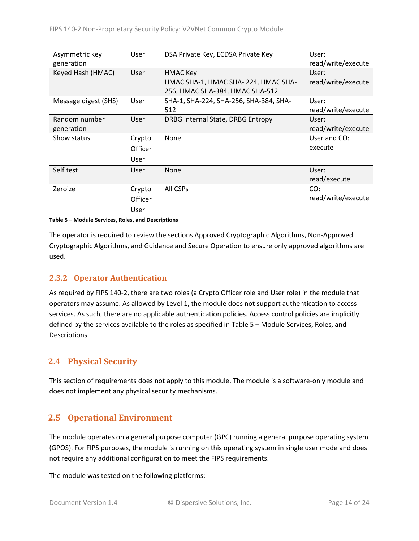| Asymmetric key       | User        | DSA Private Key, ECDSA Private Key     | User:              |
|----------------------|-------------|----------------------------------------|--------------------|
| generation           |             |                                        | read/write/execute |
| Keyed Hash (HMAC)    | <b>User</b> | <b>HMAC Key</b>                        | User:              |
|                      |             | HMAC SHA-1, HMAC SHA-224, HMAC SHA-    | read/write/execute |
|                      |             | 256, HMAC SHA-384, HMAC SHA-512        |                    |
| Message digest (SHS) | User        | SHA-1, SHA-224, SHA-256, SHA-384, SHA- | User:              |
|                      |             | 512                                    | read/write/execute |
| Random number        | <b>User</b> | DRBG Internal State, DRBG Entropy      | User:              |
| generation           |             |                                        | read/write/execute |
| Show status          | Crypto      | None                                   | User and CO:       |
|                      | Officer     |                                        | execute            |
|                      | User        |                                        |                    |
| Self test            | User        | None                                   | User:              |
|                      |             |                                        | read/execute       |
| Zeroize              | Crypto      | All CSPs                               | CO:                |
|                      | Officer     |                                        | read/write/execute |
|                      | User        |                                        |                    |

<span id="page-13-3"></span>**Table 5 – Module Services, Roles, and Descriptions**

The operator is required to review the sections Approved Cryptographic Algorithms, Non-Approved Cryptographic Algorithms, and Guidance and Secure Operation to ensure only approved algorithms are used.

#### <span id="page-13-0"></span>**2.3.2 Operator Authentication**

As required by FIPS 140-2, there are two roles (a Crypto Officer role and User role) in the module that operators may assume. As allowed by Level 1, the module does not support authentication to access services. As such, there are no applicable authentication policies. Access control policies are implicitly defined by the services available to the roles as specified in Table 5 – Module [Services, Roles,](#page-13-3) and [Descriptions.](#page-13-3)

### <span id="page-13-1"></span>**2.4 Physical Security**

This section of requirements does not apply to this module. The module is a software-only module and does not implement any physical security mechanisms.

# <span id="page-13-2"></span>**2.5 Operational Environment**

The module operates on a general purpose computer (GPC) running a general purpose operating system (GPOS). For FIPS purposes, the module is running on this operating system in single user mode and does not require any additional configuration to meet the FIPS requirements.

The module was tested on the following platforms: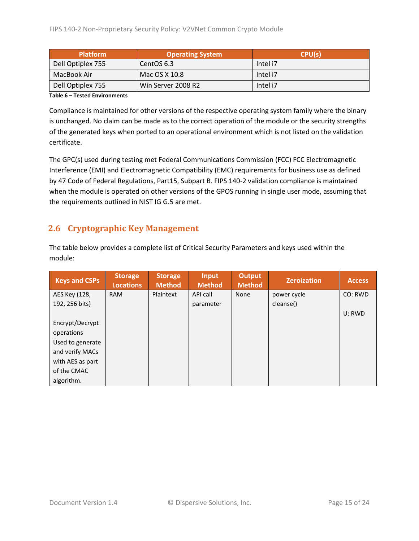| <b>Platform</b>   | <b>Operating System</b> | CPU(s)   |
|-------------------|-------------------------|----------|
| Dell Optiplex 755 | CentOS 6.3              | Intel i7 |
| MacBook Air       | Mac OS X 10.8           | Intel i7 |
| Dell Optiplex 755 | Win Server 2008 R2      | Intel i7 |

**Table 6 – Tested Environments**

Compliance is maintained for other versions of the respective operating system family where the binary is unchanged. No claim can be made as to the correct operation of the module or the security strengths of the generated keys when ported to an operational environment which is not listed on the validation certificate.

The GPC(s) used during testing met Federal Communications Commission (FCC) FCC Electromagnetic Interference (EMI) and Electromagnetic Compatibility (EMC) requirements for business use as defined by 47 Code of Federal Regulations, Part15, Subpart B. FIPS 140-2 validation compliance is maintained when the module is operated on other versions of the GPOS running in single user mode, assuming that the requirements outlined in NIST IG G.5 are met.

# <span id="page-14-0"></span>**2.6 Cryptographic Key Management**

| The table below provides a complete list of Critical Security Parameters and keys used within the |  |
|---------------------------------------------------------------------------------------------------|--|
| module:                                                                                           |  |

| <b>Keys and CSPs</b> | <b>Storage</b><br><b>Locations</b> | <b>Storage</b><br><b>Method</b> | <b>Input</b><br><b>Method</b> | Output<br><b>Method</b> | <b>Zeroization</b> | <b>Access</b> |
|----------------------|------------------------------------|---------------------------------|-------------------------------|-------------------------|--------------------|---------------|
| AES Key (128,        | <b>RAM</b>                         | Plaintext                       | API call                      | None                    | power cycle        | CO: RWD       |
| 192, 256 bits)       |                                    |                                 | parameter                     |                         | cleanse()          |               |
|                      |                                    |                                 |                               |                         |                    | U: RWD        |
| Encrypt/Decrypt      |                                    |                                 |                               |                         |                    |               |
| operations           |                                    |                                 |                               |                         |                    |               |
| Used to generate     |                                    |                                 |                               |                         |                    |               |
| and verify MACs      |                                    |                                 |                               |                         |                    |               |
| with AES as part     |                                    |                                 |                               |                         |                    |               |
| of the CMAC          |                                    |                                 |                               |                         |                    |               |
| algorithm.           |                                    |                                 |                               |                         |                    |               |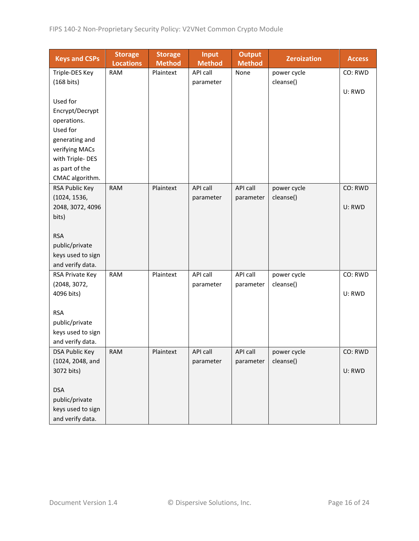| <b>Keys and CSPs</b> | <b>Storage</b><br><b>Locations</b> | <b>Storage</b><br><b>Method</b> | <b>Input</b><br><b>Method</b> | <b>Output</b><br><b>Method</b> | <b>Zeroization</b> | <b>Access</b> |
|----------------------|------------------------------------|---------------------------------|-------------------------------|--------------------------------|--------------------|---------------|
| Triple-DES Key       | <b>RAM</b>                         | Plaintext                       | <b>API call</b>               | None                           | power cycle        | CO: RWD       |
| (168 bits)           |                                    |                                 | parameter                     |                                | cleanse()          |               |
|                      |                                    |                                 |                               |                                |                    | U: RWD        |
| Used for             |                                    |                                 |                               |                                |                    |               |
| Encrypt/Decrypt      |                                    |                                 |                               |                                |                    |               |
| operations.          |                                    |                                 |                               |                                |                    |               |
| Used for             |                                    |                                 |                               |                                |                    |               |
| generating and       |                                    |                                 |                               |                                |                    |               |
| verifying MACs       |                                    |                                 |                               |                                |                    |               |
| with Triple-DES      |                                    |                                 |                               |                                |                    |               |
| as part of the       |                                    |                                 |                               |                                |                    |               |
| CMAC algorithm.      |                                    |                                 |                               |                                |                    |               |
| RSA Public Key       | <b>RAM</b>                         | Plaintext                       | <b>API call</b>               | API call                       | power cycle        | CO: RWD       |
| (1024, 1536,         |                                    |                                 | parameter                     | parameter                      | cleanse()          |               |
| 2048, 3072, 4096     |                                    |                                 |                               |                                |                    | U: RWD        |
| bits)                |                                    |                                 |                               |                                |                    |               |
|                      |                                    |                                 |                               |                                |                    |               |
| <b>RSA</b>           |                                    |                                 |                               |                                |                    |               |
| public/private       |                                    |                                 |                               |                                |                    |               |
| keys used to sign    |                                    |                                 |                               |                                |                    |               |
| and verify data.     |                                    |                                 |                               |                                |                    |               |
| RSA Private Key      | <b>RAM</b>                         | Plaintext                       | API call                      | API call                       | power cycle        | CO: RWD       |
| (2048, 3072,         |                                    |                                 | parameter                     | parameter                      | cleanse()          |               |
| 4096 bits)           |                                    |                                 |                               |                                |                    | U: RWD        |
|                      |                                    |                                 |                               |                                |                    |               |
| <b>RSA</b>           |                                    |                                 |                               |                                |                    |               |
| public/private       |                                    |                                 |                               |                                |                    |               |
| keys used to sign    |                                    |                                 |                               |                                |                    |               |
| and verify data.     |                                    |                                 |                               |                                |                    |               |
| DSA Public Key       | <b>RAM</b>                         | Plaintext                       | <b>API call</b>               | API call                       | power cycle        | CO: RWD       |
| (1024, 2048, and     |                                    |                                 | parameter                     | parameter                      | cleanse()          |               |
| 3072 bits)           |                                    |                                 |                               |                                |                    | U: RWD        |
|                      |                                    |                                 |                               |                                |                    |               |
| <b>DSA</b>           |                                    |                                 |                               |                                |                    |               |
| public/private       |                                    |                                 |                               |                                |                    |               |
| keys used to sign    |                                    |                                 |                               |                                |                    |               |
| and verify data.     |                                    |                                 |                               |                                |                    |               |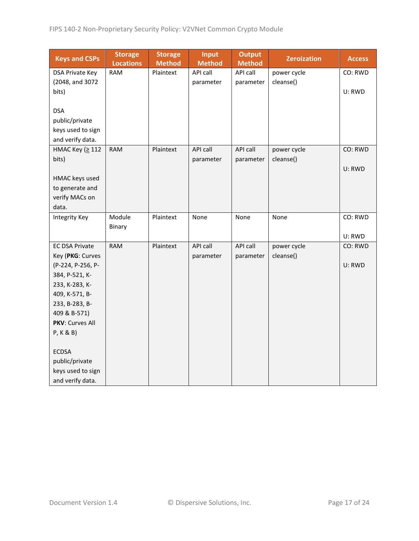| <b>Keys and CSPs</b>              | <b>Storage</b><br><b>Locations</b> | <b>Storage</b><br><b>Method</b> | <b>Input</b><br><b>Method</b> | <b>Output</b><br><b>Method</b> | <b>Zeroization</b> | <b>Access</b> |
|-----------------------------------|------------------------------------|---------------------------------|-------------------------------|--------------------------------|--------------------|---------------|
| DSA Private Key                   | <b>RAM</b>                         | Plaintext                       | API call                      | API call                       | power cycle        | CO: RWD       |
| (2048, and 3072                   |                                    |                                 | parameter                     | parameter                      | cleanse()          |               |
| bits)                             |                                    |                                 |                               |                                |                    | U: RWD        |
|                                   |                                    |                                 |                               |                                |                    |               |
| <b>DSA</b>                        |                                    |                                 |                               |                                |                    |               |
| public/private                    |                                    |                                 |                               |                                |                    |               |
| keys used to sign                 |                                    |                                 |                               |                                |                    |               |
| and verify data.                  |                                    |                                 |                               |                                |                    |               |
| НМАС Кеу (≥ 112                   | <b>RAM</b>                         | Plaintext                       | <b>API call</b>               | API call                       | power cycle        | CO: RWD       |
| bits)                             |                                    |                                 | parameter                     | parameter                      | cleanse()          |               |
|                                   |                                    |                                 |                               |                                |                    | U: RWD        |
| HMAC keys used                    |                                    |                                 |                               |                                |                    |               |
| to generate and<br>verify MACs on |                                    |                                 |                               |                                |                    |               |
| data.                             |                                    |                                 |                               |                                |                    |               |
| <b>Integrity Key</b>              | Module                             | Plaintext                       | None                          | None                           | None               | CO: RWD       |
|                                   | Binary                             |                                 |                               |                                |                    |               |
|                                   |                                    |                                 |                               |                                |                    | U: RWD        |
| <b>EC DSA Private</b>             | <b>RAM</b>                         | Plaintext                       | API call                      | API call                       | power cycle        | CO: RWD       |
| Key (PKG: Curves                  |                                    |                                 | parameter                     | parameter                      | cleanse()          |               |
| (P-224, P-256, P-                 |                                    |                                 |                               |                                |                    | U: RWD        |
| 384, P-521, K-                    |                                    |                                 |                               |                                |                    |               |
| 233, K-283, K-                    |                                    |                                 |                               |                                |                    |               |
| 409, K-571, B-                    |                                    |                                 |                               |                                |                    |               |
| 233, B-283, B-                    |                                    |                                 |                               |                                |                    |               |
| 409 & B-571)                      |                                    |                                 |                               |                                |                    |               |
| PKV: Curves All                   |                                    |                                 |                               |                                |                    |               |
| P, K & B)                         |                                    |                                 |                               |                                |                    |               |
| <b>ECDSA</b>                      |                                    |                                 |                               |                                |                    |               |
| public/private                    |                                    |                                 |                               |                                |                    |               |
| keys used to sign                 |                                    |                                 |                               |                                |                    |               |
| and verify data.                  |                                    |                                 |                               |                                |                    |               |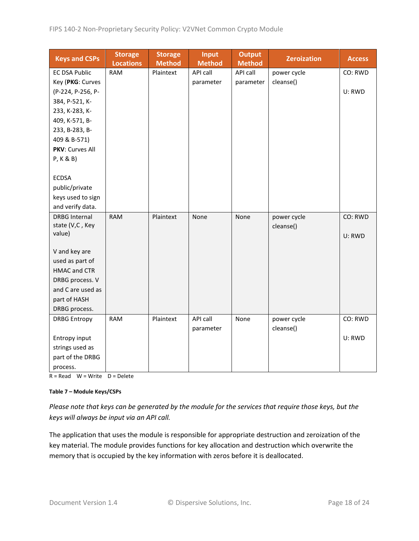| <b>Keys and CSPs</b> | <b>Storage</b><br><b>Locations</b> | <b>Storage</b><br><b>Method</b> | <b>Input</b><br><b>Method</b> | <b>Output</b><br><b>Method</b> | <b>Zeroization</b> | <b>Access</b> |
|----------------------|------------------------------------|---------------------------------|-------------------------------|--------------------------------|--------------------|---------------|
| <b>EC DSA Public</b> | <b>RAM</b>                         | Plaintext                       | API call                      | API call                       | power cycle        | CO: RWD       |
| Key (PKG: Curves     |                                    |                                 | parameter                     | parameter                      | cleanse()          |               |
| (P-224, P-256, P-    |                                    |                                 |                               |                                |                    | U: RWD        |
| 384, P-521, K-       |                                    |                                 |                               |                                |                    |               |
| 233, K-283, K-       |                                    |                                 |                               |                                |                    |               |
| 409, K-571, B-       |                                    |                                 |                               |                                |                    |               |
| 233, B-283, B-       |                                    |                                 |                               |                                |                    |               |
| 409 & B-571)         |                                    |                                 |                               |                                |                    |               |
| PKV: Curves All      |                                    |                                 |                               |                                |                    |               |
| P, K & B)            |                                    |                                 |                               |                                |                    |               |
|                      |                                    |                                 |                               |                                |                    |               |
| <b>ECDSA</b>         |                                    |                                 |                               |                                |                    |               |
| public/private       |                                    |                                 |                               |                                |                    |               |
| keys used to sign    |                                    |                                 |                               |                                |                    |               |
| and verify data.     |                                    |                                 |                               |                                |                    |               |
| <b>DRBG Internal</b> | <b>RAM</b>                         | Plaintext                       | None                          | None                           | power cycle        | CO: RWD       |
| state (V,C, Key      |                                    |                                 |                               |                                | cleanse()          |               |
| value)               |                                    |                                 |                               |                                |                    | U: RWD        |
| V and key are        |                                    |                                 |                               |                                |                    |               |
| used as part of      |                                    |                                 |                               |                                |                    |               |
| <b>HMAC and CTR</b>  |                                    |                                 |                               |                                |                    |               |
| DRBG process. V      |                                    |                                 |                               |                                |                    |               |
| and C are used as    |                                    |                                 |                               |                                |                    |               |
| part of HASH         |                                    |                                 |                               |                                |                    |               |
| DRBG process.        |                                    |                                 |                               |                                |                    |               |
| <b>DRBG Entropy</b>  | <b>RAM</b>                         | Plaintext                       | API call                      | None                           | power cycle        | CO: RWD       |
|                      |                                    |                                 | parameter                     |                                | cleanse()          |               |
| Entropy input        |                                    |                                 |                               |                                |                    | U: RWD        |
| strings used as      |                                    |                                 |                               |                                |                    |               |
| part of the DRBG     |                                    |                                 |                               |                                |                    |               |
| process.             |                                    |                                 |                               |                                |                    |               |
|                      |                                    |                                 |                               |                                |                    |               |

 $R = Read \tW = Write \tD = Delete$ 

#### **Table 7 – Module Keys/CSPs**

*Please note that keys can be generated by the module for the services that require those keys, but the keys will always be input via an API call.*

The application that uses the module is responsible for appropriate destruction and zeroization of the key material. The module provides functions for key allocation and destruction which overwrite the memory that is occupied by the key information with zeros before it is deallocated.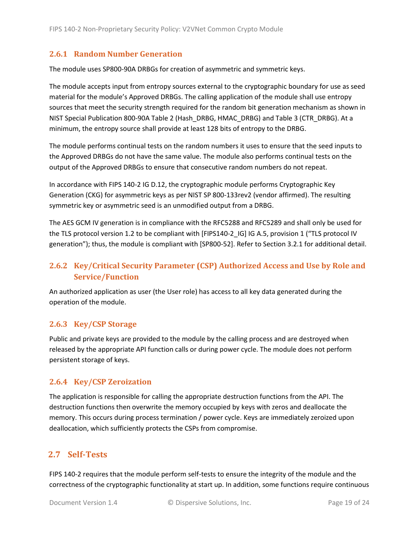#### <span id="page-18-0"></span>**2.6.1 Random Number Generation**

The module uses SP800-90A DRBGs for creation of asymmetric and symmetric keys.

The module accepts input from entropy sources external to the cryptographic boundary for use as seed material for the module's Approved DRBGs. The calling application of the module shall use entropy sources that meet the security strength required for the random bit generation mechanism as shown in NIST Special Publication 800-90A Table 2 (Hash\_DRBG, HMAC\_DRBG) and Table 3 (CTR\_DRBG). At a minimum, the entropy source shall provide at least 128 bits of entropy to the DRBG.

The module performs continual tests on the random numbers it uses to ensure that the seed inputs to the Approved DRBGs do not have the same value. The module also performs continual tests on the output of the Approved DRBGs to ensure that consecutive random numbers do not repeat.

In accordance with FIPS 140-2 IG D.12, the cryptographic module performs Cryptographic Key Generation (CKG) for asymmetric keys as per NIST SP 800-133rev2 (vendor affirmed). The resulting symmetric key or asymmetric seed is an unmodified output from a DRBG.

The AES GCM IV generation is in compliance with the RFC5288 and RFC5289 and shall only be used for the TLS protocol version 1.2 to be compliant with [FIPS140-2 IG] IG A.5, provision 1 ("TLS protocol IV generation"); thus, the module is compliant with [SP800-52]. Refer to Section [3.2.1](#page-22-5) for additional detail.

# <span id="page-18-1"></span>**2.6.2 Key/Critical Security Parameter (CSP) Authorized Access and Use by Role and Service/Function**

An authorized application as user (the User role) has access to all key data generated during the operation of the module.

#### <span id="page-18-2"></span>**2.6.3 Key/CSP Storage**

Public and private keys are provided to the module by the calling process and are destroyed when released by the appropriate API function calls or during power cycle. The module does not perform persistent storage of keys.

#### <span id="page-18-3"></span>**2.6.4 Key/CSP Zeroization**

The application is responsible for calling the appropriate destruction functions from the API. The destruction functions then overwrite the memory occupied by keys with zeros and deallocate the memory. This occurs during process termination / power cycle. Keys are immediately zeroized upon deallocation, which sufficiently protects the CSPs from compromise.

#### <span id="page-18-4"></span>**2.7 Self-Tests**

FIPS 140-2 requires that the module perform self-tests to ensure the integrity of the module and the correctness of the cryptographic functionality at start up. In addition, some functions require continuous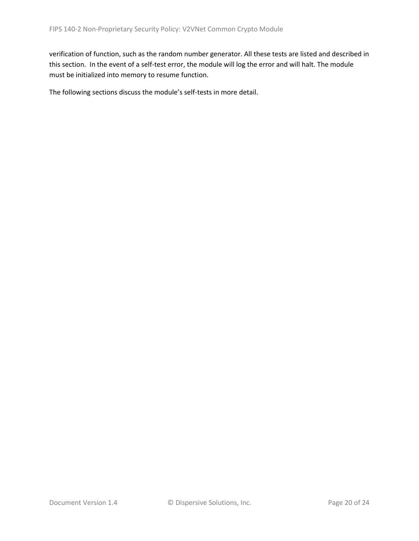verification of function, such as the random number generator. All these tests are listed and described in this section. In the event of a self-test error, the module will log the error and will halt. The module must be initialized into memory to resume function.

The following sections discuss the module's self-tests in more detail.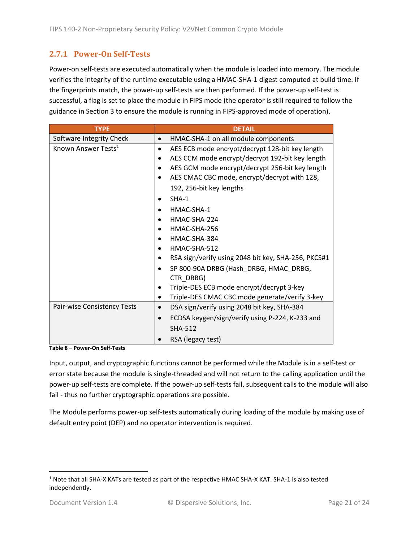### <span id="page-20-0"></span>**2.7.1 Power-On Self-Tests**

Power-on self-tests are executed automatically when the module is loaded into memory. The module verifies the integrity of the runtime executable using a HMAC-SHA-1 digest computed at build time. If the fingerprints match, the power-up self-tests are then performed. If the power-up self-test is successful, a flag is set to place the module in FIPS mode (the operator is still required to follow the guidance in Section [3](#page-22-0) to ensure the module is running in FIPS-approved mode of operation).

| <b>TYPE</b>                     | <b>DETAIL</b>                                                |
|---------------------------------|--------------------------------------------------------------|
| Software Integrity Check        | HMAC-SHA-1 on all module components                          |
| Known Answer Tests <sup>1</sup> | AES ECB mode encrypt/decrypt 128-bit key length<br>$\bullet$ |
|                                 | AES CCM mode encrypt/decrypt 192-bit key length              |
|                                 | AES GCM mode encrypt/decrypt 256-bit key length              |
|                                 | AES CMAC CBC mode, encrypt/decrypt with 128,                 |
|                                 | 192, 256-bit key lengths                                     |
|                                 | $SHA-1$                                                      |
|                                 | HMAC-SHA-1                                                   |
|                                 | HMAC-SHA-224                                                 |
|                                 | HMAC-SHA-256                                                 |
|                                 | HMAC-SHA-384                                                 |
|                                 | HMAC-SHA-512                                                 |
|                                 | RSA sign/verify using 2048 bit key, SHA-256, PKCS#1          |
|                                 | SP 800-90A DRBG (Hash DRBG, HMAC DRBG,                       |
|                                 | CTR DRBG)                                                    |
|                                 | Triple-DES ECB mode encrypt/decrypt 3-key                    |
|                                 | Triple-DES CMAC CBC mode generate/verify 3-key<br>٠          |
| Pair-wise Consistency Tests     | DSA sign/verify using 2048 bit key, SHA-384<br>$\bullet$     |
|                                 | ECDSA keygen/sign/verify using P-224, K-233 and              |
|                                 | <b>SHA-512</b>                                               |
|                                 | RSA (legacy test)                                            |

**Table 8 – Power-On Self-Tests**

Input, output, and cryptographic functions cannot be performed while the Module is in a self-test or error state because the module is single-threaded and will not return to the calling application until the power-up self-tests are complete. If the power-up self-tests fail, subsequent calls to the module will also fail - thus no further cryptographic operations are possible.

The Module performs power-up self-tests automatically during loading of the module by making use of default entry point (DEP) and no operator intervention is required.

<sup>1</sup> Note that all SHA-X KATs are tested as part of the respective HMAC SHA-X KAT. SHA-1 is also tested independently.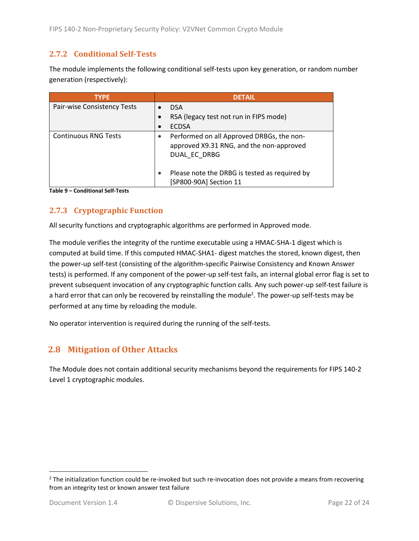#### <span id="page-21-0"></span>**2.7.2 Conditional Self-Tests**

The module implements the following conditional self-tests upon key generation, or random number generation (respectively):

| <b>TYPE</b>                 | <b>DETAIL</b>                                                                                         |
|-----------------------------|-------------------------------------------------------------------------------------------------------|
| Pair-wise Consistency Tests | <b>DSA</b>                                                                                            |
|                             | RSA (legacy test not run in FIPS mode)                                                                |
|                             | <b>ECDSA</b>                                                                                          |
| <b>Continuous RNG Tests</b> | Performed on all Approved DRBGs, the non-<br>approved X9.31 RNG, and the non-approved<br>DUAL EC DRBG |
|                             | Please note the DRBG is tested as required by<br>[SP800-90A] Section 11                               |

**Table 9 – Conditional Self-Tests**

### <span id="page-21-1"></span>**2.7.3 Cryptographic Function**

All security functions and cryptographic algorithms are performed in Approved mode.

The module verifies the integrity of the runtime executable using a HMAC-SHA-1 digest which is computed at build time. If this computed HMAC-SHA1- digest matches the stored, known digest, then the power-up self-test (consisting of the algorithm-specific Pairwise Consistency and Known Answer tests) is performed. If any component of the power-up self-test fails, an internal global error flag is set to prevent subsequent invocation of any cryptographic function calls. Any such power-up self-test failure is a hard error that can only be recovered by reinstalling the module<sup>2</sup>. The power-up self-tests may be performed at any time by reloading the module.

No operator intervention is required during the running of the self-tests.

# <span id="page-21-2"></span>**2.8 Mitigation of Other Attacks**

The Module does not contain additional security mechanisms beyond the requirements for FIPS 140-2 Level 1 cryptographic modules.

 $2$  The initialization function could be re-invoked but such re-invocation does not provide a means from recovering from an integrity test or known answer test failure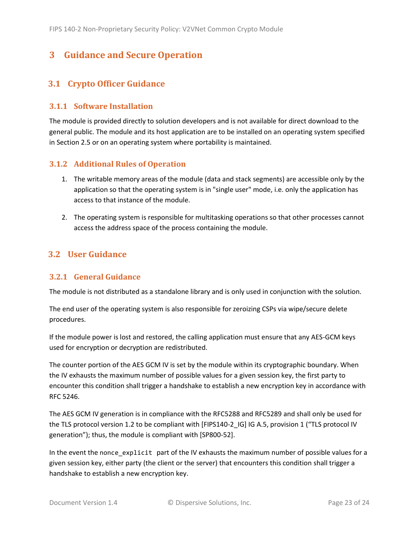# <span id="page-22-0"></span>**3 Guidance and Secure Operation**

#### <span id="page-22-1"></span>**3.1 Crypto Officer Guidance**

#### <span id="page-22-2"></span>**3.1.1 Software Installation**

The module is provided directly to solution developers and is not available for direct download to the general public. The module and its host application are to be installed on an operating system specified in Section [2.5](#page-13-2) or on an operating system where portability is maintained.

#### <span id="page-22-3"></span>**3.1.2 Additional Rules of Operation**

- 1. The writable memory areas of the module (data and stack segments) are accessible only by the application so that the operating system is in "single user" mode, i.e. only the application has access to that instance of the module.
- 2. The operating system is responsible for multitasking operations so that other processes cannot access the address space of the process containing the module.

#### <span id="page-22-4"></span>**3.2 User Guidance**

#### <span id="page-22-5"></span>**3.2.1 General Guidance**

The module is not distributed as a standalone library and is only used in conjunction with the solution.

The end user of the operating system is also responsible for zeroizing CSPs via wipe/secure delete procedures.

If the module power is lost and restored, the calling application must ensure that any AES-GCM keys used for encryption or decryption are redistributed.

The counter portion of the AES GCM IV is set by the module within its cryptographic boundary. When the IV exhausts the maximum number of possible values for a given session key, the first party to encounter this condition shall trigger a handshake to establish a new encryption key in accordance with RFC 5246.

The AES GCM IV generation is in compliance with the RFC5288 and RFC5289 and shall only be used for the TLS protocol version 1.2 to be compliant with [FIPS140-2 IG] IG A.5, provision 1 ("TLS protocol IV generation"); thus, the module is compliant with [SP800-52].

In the event the nonce\_explicit part of the IV exhausts the maximum number of possible values for a given session key, either party (the client or the server) that encounters this condition shall trigger a handshake to establish a new encryption key.